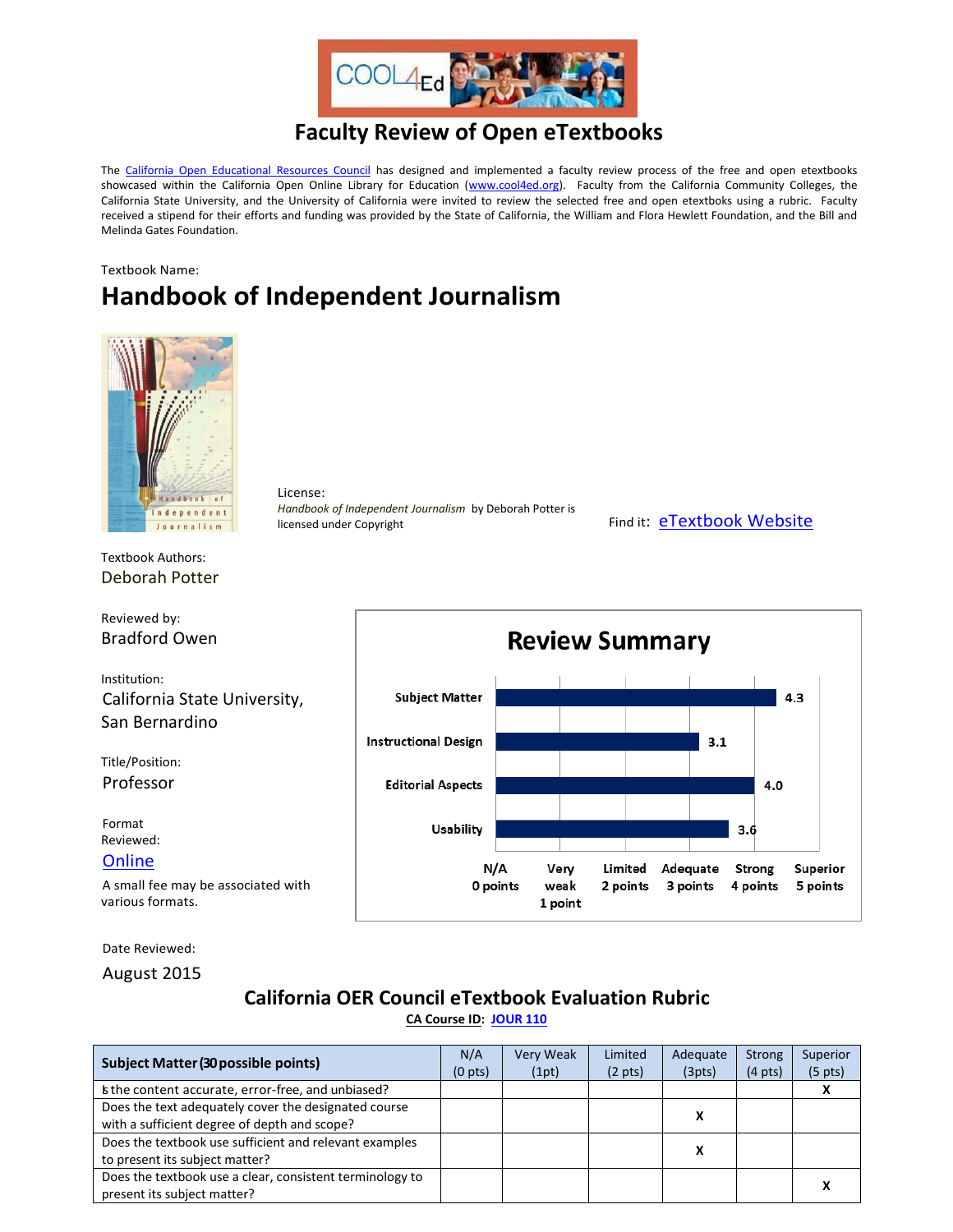

## **Faculty Review of Open eTextbooks**

The [California Open Educational Resources Council](http://icas-ca.org/coerc) has designed and implemented a faculty review process of the free and open etextbooks showcased within the California Open Online Library for Education [\(www.cool4ed.org\)](http://www.cool4ed.org/). Faculty from the California Community Colleges, the California State University, and the University of California were invited to review the selected free and open etextboks using a rubric. Faculty received a stipend for their efforts and funding was provided by the State of California, the William and Flora Hewlett Foundation, and the Bill and Melinda Gates Foundation.

## Textbook Name: **Handbook of Independent Journalism**



License: *Handbook of Independent Journalism* by Deborah Potter is licensed under Copyright Find it: [eTextbook Website](http://photos.state.gov/libraries/korea/49271/dwoa_122709/Handbook-of-Independent-Journalism_001.pdf)

Textbook Authors: Deborah Potter

Reviewed by: Bradford Owen

Institution: California State University, San Bernardino

Title/Position: Professor

Format Reviewed:

**[Online](http://photos.state.gov/libraries/korea/49271/dwoa_122709/Handbook-of-Independent-Journalism_001.pdf)** 

A small fee may be associated with various formats.

Date Reviewed:

August 2015

## **California OER Council eTextbook Evaluation Rubric**

**[CA Course ID:](https://c-id.net/about.html) [JOUR 110](https://c-id.net/descriptor_details.html?descriptor=375)**

| Subject Matter (30 possible points)                                                                  | N/A<br>(0 <sub>pts</sub> ) | Very Weak<br>(1pt) | Limited<br>$(2 \text{ pts})$ | Adequate<br>(3pts) | <b>Strong</b><br>$(4 \text{ pts})$ | Superior<br>$(5 \text{ pts})$ |
|------------------------------------------------------------------------------------------------------|----------------------------|--------------------|------------------------------|--------------------|------------------------------------|-------------------------------|
| Is the content accurate, error-free, and unbiased?                                                   |                            |                    |                              |                    |                                    |                               |
| Does the text adequately cover the designated course<br>with a sufficient degree of depth and scope? |                            |                    |                              |                    |                                    |                               |
| Does the textbook use sufficient and relevant examples<br>to present its subject matter?             |                            |                    |                              | v                  |                                    |                               |
| Does the textbook use a clear, consistent terminology to<br>present its subject matter?              |                            |                    |                              |                    |                                    |                               |

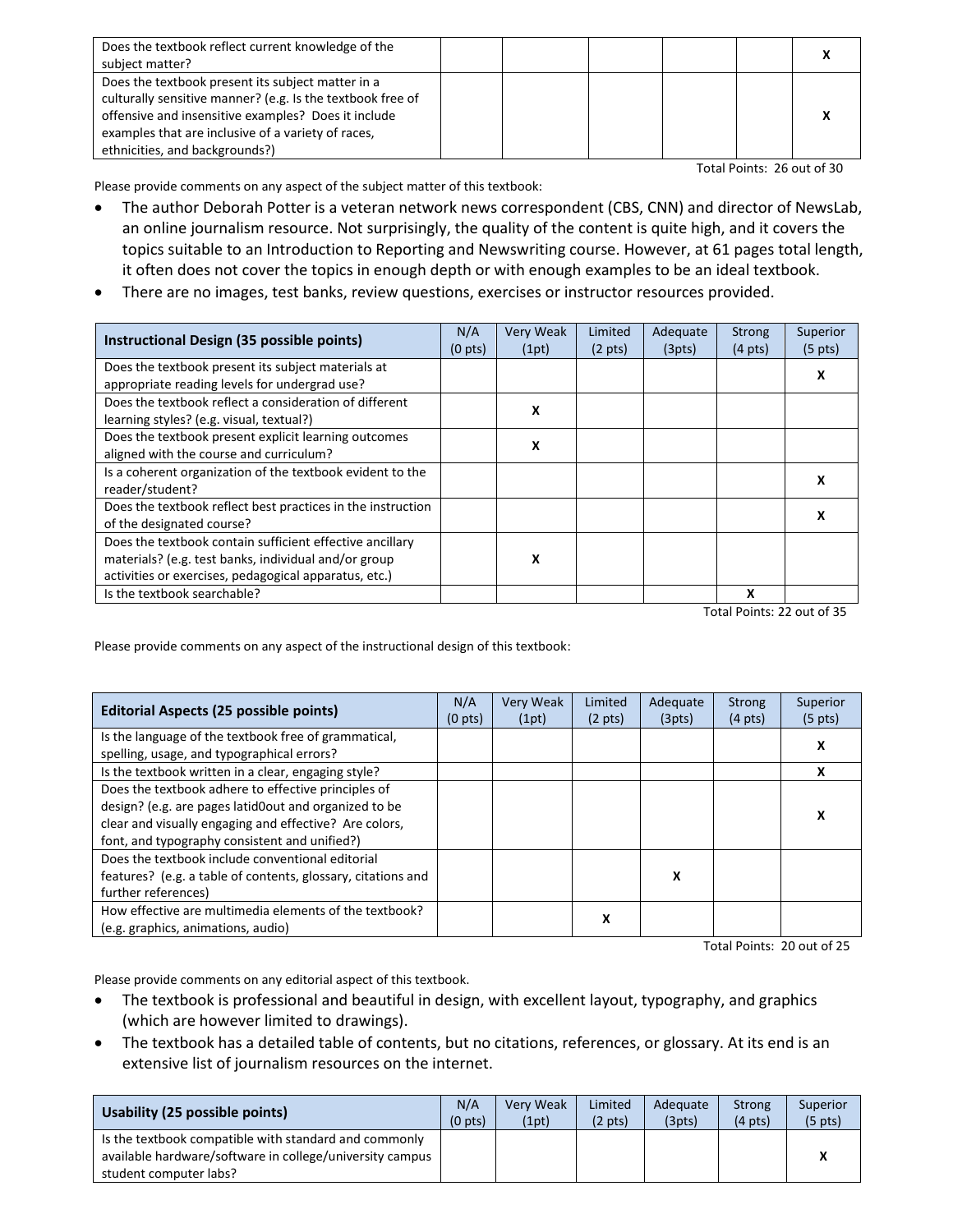| Does the textbook reflect current knowledge of the         |  |  |  |
|------------------------------------------------------------|--|--|--|
| subject matter?                                            |  |  |  |
| Does the textbook present its subject matter in a          |  |  |  |
| culturally sensitive manner? (e.g. Is the textbook free of |  |  |  |
| offensive and insensitive examples? Does it include        |  |  |  |
| examples that are inclusive of a variety of races,         |  |  |  |
| ethnicities, and backgrounds?)                             |  |  |  |

Total Points: 26 out of 30

Please provide comments on any aspect of the subject matter of this textbook:

- The author Deborah Potter is a veteran network news correspondent (CBS, CNN) and director of NewsLab, an online journalism resource. Not surprisingly, the quality of the content is quite high, and it covers the topics suitable to an Introduction to Reporting and Newswriting course. However, at 61 pages total length, it often does not cover the topics in enough depth or with enough examples to be an ideal textbook.
- There are no images, test banks, review questions, exercises or instructor resources provided.

| Instructional Design (35 possible points)                   | N/A<br>(0 <sub>pts</sub> ) | <b>Very Weak</b><br>(1pt) | Limited<br>$(2 \text{ pts})$ | Adequate<br>(3pts) | <b>Strong</b><br>$(4 \text{ pts})$ | Superior<br>$(5 \text{ pts})$ |
|-------------------------------------------------------------|----------------------------|---------------------------|------------------------------|--------------------|------------------------------------|-------------------------------|
| Does the textbook present its subject materials at          |                            |                           |                              |                    |                                    |                               |
| appropriate reading levels for undergrad use?               |                            |                           |                              |                    |                                    |                               |
| Does the textbook reflect a consideration of different      |                            | x                         |                              |                    |                                    |                               |
| learning styles? (e.g. visual, textual?)                    |                            |                           |                              |                    |                                    |                               |
| Does the textbook present explicit learning outcomes        |                            | x                         |                              |                    |                                    |                               |
| aligned with the course and curriculum?                     |                            |                           |                              |                    |                                    |                               |
| Is a coherent organization of the textbook evident to the   |                            |                           |                              |                    |                                    | x                             |
| reader/student?                                             |                            |                           |                              |                    |                                    |                               |
| Does the textbook reflect best practices in the instruction |                            |                           |                              |                    |                                    |                               |
| of the designated course?                                   |                            |                           |                              |                    |                                    |                               |
| Does the textbook contain sufficient effective ancillary    |                            |                           |                              |                    |                                    |                               |
| materials? (e.g. test banks, individual and/or group        |                            | x                         |                              |                    |                                    |                               |
| activities or exercises, pedagogical apparatus, etc.)       |                            |                           |                              |                    |                                    |                               |
| Is the textbook searchable?                                 |                            |                           |                              |                    | x                                  |                               |

Total Points: 22 out of 35

Please provide comments on any aspect of the instructional design of this textbook:

| <b>Editorial Aspects (25 possible points)</b>                                                      | N/A<br>(0 <sub>pts</sub> ) | Very Weak<br>(1pt) | Limited<br>$(2 \text{ pts})$ | Adequate<br>(3pts) | <b>Strong</b><br>$(4 \text{ pts})$ | Superior<br>$(5 \text{ pts})$ |
|----------------------------------------------------------------------------------------------------|----------------------------|--------------------|------------------------------|--------------------|------------------------------------|-------------------------------|
| Is the language of the textbook free of grammatical,<br>spelling, usage, and typographical errors? |                            |                    |                              |                    |                                    | X                             |
| Is the textbook written in a clear, engaging style?                                                |                            |                    |                              |                    |                                    | x                             |
| Does the textbook adhere to effective principles of                                                |                            |                    |                              |                    |                                    |                               |
| design? (e.g. are pages latid0out and organized to be                                              |                            |                    |                              |                    |                                    | х                             |
| clear and visually engaging and effective? Are colors,                                             |                            |                    |                              |                    |                                    |                               |
| font, and typography consistent and unified?)                                                      |                            |                    |                              |                    |                                    |                               |
| Does the textbook include conventional editorial                                                   |                            |                    |                              |                    |                                    |                               |
| features? (e.g. a table of contents, glossary, citations and                                       |                            |                    |                              | x                  |                                    |                               |
| further references)                                                                                |                            |                    |                              |                    |                                    |                               |
| How effective are multimedia elements of the textbook?                                             |                            |                    | x                            |                    |                                    |                               |
| (e.g. graphics, animations, audio)                                                                 |                            |                    |                              |                    |                                    |                               |

Total Points: 20 out of 25

Please provide comments on any editorial aspect of this textbook.

- The textbook is professional and beautiful in design, with excellent layout, typography, and graphics (which are however limited to drawings).
- The textbook has a detailed table of contents, but no citations, references, or glossary. At its end is an extensive list of journalism resources on the internet.

| Usability (25 possible points)                                                                                                              | N/A          | <b>Very Weak</b> | Limited           | Adequate | <b>Strong</b>     | Superior          |
|---------------------------------------------------------------------------------------------------------------------------------------------|--------------|------------------|-------------------|----------|-------------------|-------------------|
|                                                                                                                                             | $(0$ pts $)$ | (1pt)            | $(2 \text{ pts})$ | (3pts)   | $(4 \text{ pts})$ | $(5 \text{ pts})$ |
| Is the textbook compatible with standard and commonly<br>available hardware/software in college/university campus<br>student computer labs? |              |                  |                   |          |                   |                   |